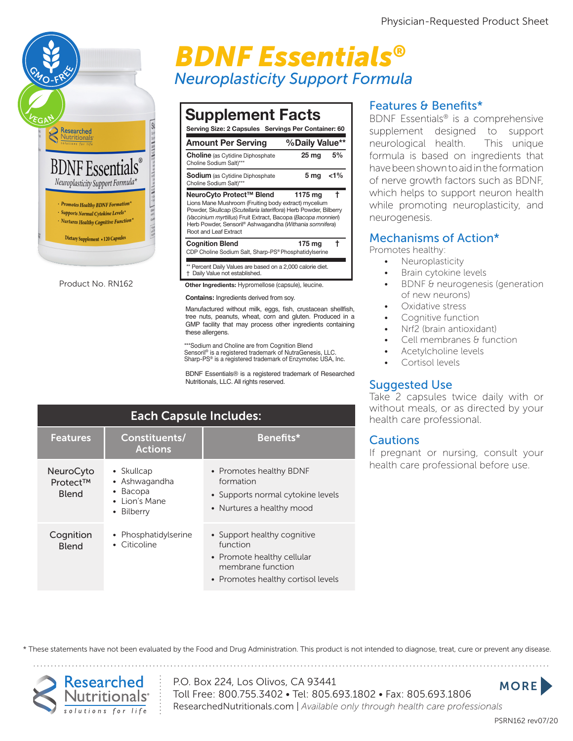

Product No. RN162

## **Neuroplasticity Support Formula BDNF Essentials®**

| <b>Supplement Facts</b><br>Serving Size: 2 Capsules Servings Per Container: 60                                                                                                                                                                                                                            |                |         |
|-----------------------------------------------------------------------------------------------------------------------------------------------------------------------------------------------------------------------------------------------------------------------------------------------------------|----------------|---------|
| <b>Amount Per Serving</b>                                                                                                                                                                                                                                                                                 | %Daily Value** |         |
| <b>Choline</b> (as Cytidine Diphosphate<br>Choline Sodium Salt)***                                                                                                                                                                                                                                        | 25 ma          | 5%      |
| <b>Sodium</b> (as Cytidine Diphosphate<br>Choline Sodium Salt)***                                                                                                                                                                                                                                         | 5 mg           | $< 1\%$ |
| NeuroCyto Protect™ Blend<br>Lions Mane Mushroom (Fruiting body extract) mycelium<br>Powder, Skullcap (Scutellaria lateriflora) Herb Powder, Bilberry<br>(Vaccinium myrtillus) Fruit Extract, Bacopa (Bacopa monnieri)<br>Herb Powder, Sensoril® Ashwagandha (Withania somnifera)<br>Root and Leaf Extract | 1175 ma        |         |
| <b>Cognition Blend</b><br>CDP Choline Sodium Salt, Sharp-PS® Phosphatidylserine                                                                                                                                                                                                                           | 175 mg         |         |

\*\* Percent Daily Values are based on a 2,000 calorie diet.<br><sup>\*\*</sup> Peilu Value ast established Lions Montre Godiani Gait, Griatp To Thosphandy ischilic

† Daily Value not established. Herb Powder, Sensoril® Ashwagandha (*Withania somnifera*)

Other Ingredients: Hypromellose (capsule), leucine. **Contains:** Ingredients derived from soy.

Manufactured without milk, eggs, fish, crustacean shellfish, tree nuts, peanuts, wheat, corn and gluten. Produced in a GMP facility that may process other ingredients containing these allergens. **Other Ingredients:** Hypromellose (capsule), leucine.

\*\*\*Sodium and Choline are from Cognition Blend Sensoril® is a registered trademark of NutraGenesis, LLC. Sharp-PS® is a registered trademark of Enzymotec USA, Inc.

BDNF Essentials® is a registered trademark of Researched Nutritionals, LLC. All rights reserved.

| <b>Each Capsule Includes:</b>         |                                                                                           |                                                                                                                                  |  |
|---------------------------------------|-------------------------------------------------------------------------------------------|----------------------------------------------------------------------------------------------------------------------------------|--|
| <b>Features</b>                       | Constituents/<br><b>Actions</b>                                                           | Benefits*                                                                                                                        |  |
| <b>NeuroCyto</b><br>Protect™<br>Blend | • Skullcap<br>• Ashwagandha<br>Bacopa<br>$\bullet$<br>$\bullet$ Lion's Mane<br>• Bilberry | • Promotes healthy BDNF<br>formation<br>• Supports normal cytokine levels<br>• Nurtures a healthy mood                           |  |
| Cognition<br><b>Blend</b>             | • Phosphatidylserine<br>• Citicoline                                                      | • Support healthy cognitive<br>function<br>• Promote healthy cellular<br>membrane function<br>• Promotes healthy cortisol levels |  |

#### Features & Benefits\*

BDNF Essentials® is a comprehensive supplement designed to support neurological health. This unique formula is based on ingredients that have been shown to aid in the formation of nerve growth factors such as BDNF, which helps to support neuron health while promoting neuroplasticity, and neurogenesis.

#### Mechanisms of Action\*

Promotes healthy:

- **Neuroplasticity** 
	- Brain cytokine levels
	- BDNF & neurogenesis (generation of new neurons)
	- Oxidative stress
	- Cognitive function
	- Nrf2 (brain antioxidant)
	- Cell membranes & function
	- Acetylcholine levels
	- Cortisol levels

#### Suggested Use

Take 2 capsules twice daily with or without meals, or as directed by your health care professional.

#### **Cautions**

If pregnant or nursing, consult your health care professional before use.

\* These statements have not been evaluated by the Food and Drug Administration. This product is not intended to diagnose, treat, cure or prevent any disease.



P.O. Box 224, Los Olivos, CA 93441 Toll Free: 800.755.3402 • Tel: 805.693.1802 • Fax: 805.693.1806 ResearchedNutritionals.com | *Available only through health care professionals* **MORE**